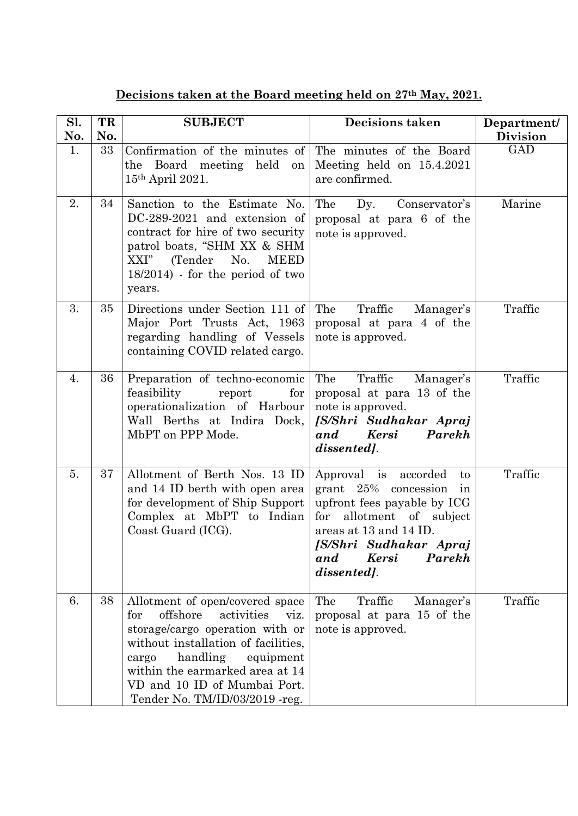| Decisions taken at the Board meeting held on 27 <sup>th</sup> May, 2021. |  |  |  |  |  |
|--------------------------------------------------------------------------|--|--|--|--|--|
|                                                                          |  |  |  |  |  |

| Sl.<br>No. | TR<br>No. | <b>SUBJECT</b>                                                                                                                                                                                                                                                                             | Decisions taken                                                                                                                                                                                                            | Department/<br><b>Division</b> |
|------------|-----------|--------------------------------------------------------------------------------------------------------------------------------------------------------------------------------------------------------------------------------------------------------------------------------------------|----------------------------------------------------------------------------------------------------------------------------------------------------------------------------------------------------------------------------|--------------------------------|
| 1.         | 33        | Confirmation of the minutes of<br>the Board meeting held<br>on<br>15th April 2021.                                                                                                                                                                                                         | The minutes of the Board<br>Meeting held on 15.4.2021<br>are confirmed.                                                                                                                                                    | GAD                            |
| 2.         | 34        | Sanction to the Estimate No.<br>DC-289-2021 and extension of<br>contract for hire of two security<br>patrol boats, "SHM XX & SHM<br>(Tender<br><b>MEED</b><br>XXI"<br>No.<br>$18/2014$ ) - for the period of two<br>years.                                                                 | The<br>Dy.<br>Conservator's<br>proposal at para 6 of the<br>note is approved.                                                                                                                                              | Marine                         |
| 3.         | 35        | Directions under Section 111 of<br>Major Port Trusts Act, 1963<br>regarding handling of Vessels<br>containing COVID related cargo.                                                                                                                                                         | The<br>Traffic<br>Manager's<br>proposal at para 4 of the<br>note is approved.                                                                                                                                              | Traffic                        |
| 4.         | 36        | Preparation of techno-economic<br>feasibility<br>report<br>for<br>operationalization of Harbour<br>Wall Berths at Indira Dock,<br>MbPT on PPP Mode.                                                                                                                                        | The<br>Traffic<br>Manager's<br>proposal at para 13 of the<br>note is approved.<br>[S/Shri Sudhakar Apraj<br>and<br><b>Kersi</b><br>Parekh<br>dissented].                                                                   | Traffic                        |
| 5.         | 37        | Allotment of Berth Nos. 13 ID<br>and 14 ID berth with open area<br>for development of Ship Support<br>Complex at MbPT to Indian<br>Coast Guard (ICG).                                                                                                                                      | Approval is accorded<br>to<br>grant 25% concession<br>ın<br>upfront fees payable by ICG<br>for<br>allotment of subject<br>areas at 13 and 14 ID.<br>[S/Shri Sudhakar Apraj<br>Parekh<br><b>Kersi</b><br>and<br>dissented]. | Traffic                        |
| 6.         | 38        | Allotment of open/covered space<br>offshore<br>activities<br>for<br>viz.<br>storage/cargo operation with or<br>without installation of facilities,<br>handling<br>equipment<br>cargo<br>within the earmarked area at 14<br>VD and 10 ID of Mumbai Port.<br>Tender No. TM/ID/03/2019 - reg. | The<br>Traffic<br>Manager's<br>proposal at para 15 of the<br>note is approved.                                                                                                                                             | Traffic                        |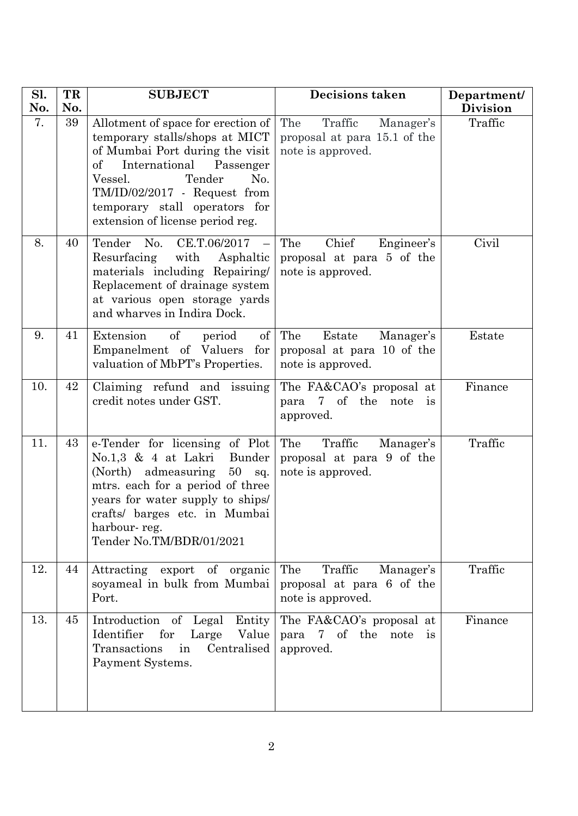| Sl.<br>No. | TR<br>No. | <b>SUBJECT</b>                                                                                                                                                                                                                                                                       | Decisions taken                                                                  | Department/<br><b>Division</b> |
|------------|-----------|--------------------------------------------------------------------------------------------------------------------------------------------------------------------------------------------------------------------------------------------------------------------------------------|----------------------------------------------------------------------------------|--------------------------------|
| 7.         | 39        | Allotment of space for erection of<br>temporary stalls/shops at MICT<br>of Mumbai Port during the visit<br>$\mathrm{of}$<br>International Passenger<br>Tender<br>Vessel.<br>No.<br>TM/ID/02/2017 - Request from<br>temporary stall operators for<br>extension of license period reg. | The<br>Traffic<br>Manager's<br>proposal at para 15.1 of the<br>note is approved. | Traffic                        |
| 8.         | 40        | Tender No.<br>CE.T.06/2017<br>Resurfacing<br>with<br>Asphaltic<br>materials including Repairing/<br>Replacement of drainage system<br>at various open storage yards<br>and wharves in Indira Dock.                                                                                   | The<br>Chief<br>Engineer's<br>proposal at para 5 of the<br>note is approved.     | Civil                          |
| 9.         | 41        | of<br>Extension<br>$\sigma f$<br>period<br>Empanelment of Valuers for<br>valuation of MbPT's Properties.                                                                                                                                                                             | The<br>Estate<br>Manager's<br>proposal at para 10 of the<br>note is approved.    | Estate                         |
| 10.        | 42        | Claiming refund and issuing<br>credit notes under GST.                                                                                                                                                                                                                               | The FA&CAO's proposal at<br>7 of the<br>para<br>note<br><i>is</i><br>approved.   | Finance                        |
| 11.        | 43        | e-Tender for licensing of Plot<br>$No.1,3 \& 4$ at Lakri<br>Bunder<br>(North) admeasuring<br>50<br>sq.<br>mtrs. each for a period of three<br>years for water supply to ships.<br>crafts/ barges etc. in Mumbai<br>harbour-reg.<br>Tender No.TM/BDR/01/2021                          | The<br>Traffic<br>Manager's<br>proposal at para 9 of the<br>note is approved.    | Traffic                        |
| 12.        | 44        | Attracting<br>export of organic<br>soyameal in bulk from Mumbai<br>Port.                                                                                                                                                                                                             | Traffic<br>The<br>Manager's<br>proposal at para 6 of the<br>note is approved.    | Traffic                        |
| 13.        | 45        | Introduction of Legal<br>Entity<br>Identifier<br>for<br>Value<br>Large<br>Transactions<br>Centralised<br>in<br>Payment Systems.                                                                                                                                                      | The FA&CAO's proposal at<br>para 7 of the note is<br>approved.                   | Finance                        |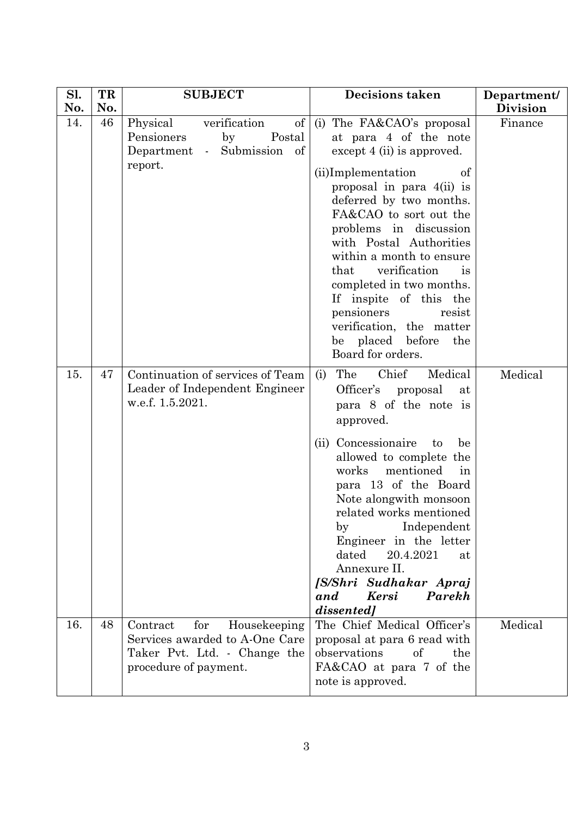| Sl.<br>No. | TR<br>No. | <b>SUBJECT</b>                                                                                                             | <b>Decisions taken</b>                                                                                                                                                                                                                                                                                                                                                                                                                                                               | Department/<br><b>Division</b> |
|------------|-----------|----------------------------------------------------------------------------------------------------------------------------|--------------------------------------------------------------------------------------------------------------------------------------------------------------------------------------------------------------------------------------------------------------------------------------------------------------------------------------------------------------------------------------------------------------------------------------------------------------------------------------|--------------------------------|
| 14.        | 46        | of<br>verification<br>Physical<br>Pensioners<br>by<br>Postal<br>Department - Submission of<br>report.                      | (i) The FA&CAO's proposal<br>at para 4 of the note<br>except $4$ (ii) is approved.<br>(ii)Implementation<br>of<br>proposal in para 4(ii) is<br>deferred by two months.<br>FA&CAO to sort out the<br>problems in discussion<br>with Postal Authorities<br>within a month to ensure<br>verification<br>that<br><sup>is</sup><br>completed in two months.<br>If inspite of this the<br>pensioners<br>resist<br>verification, the matter<br>be placed before<br>the<br>Board for orders. | Finance                        |
| 15.        | 47        | Continuation of services of Team<br>Leader of Independent Engineer<br>w.e.f. 1.5.2021.                                     | Chief<br>The<br>Medical<br>(i)<br>Officer's proposal<br>at<br>para 8 of the note is<br>approved.<br>(ii) Concessionaire<br>be<br>to<br>allowed to complete the<br>mentioned<br>works<br>in<br>para 13 of the Board<br>Note alongwith monsoon<br>related works mentioned<br>Independent<br>by<br>Engineer in the letter<br>dated<br>20.4.2021<br>at<br>Annexure II.<br>[S/Shri Sudhakar Apraj<br><b>Kersi</b><br>Parekh<br>and<br>dissented]                                          | Medical                        |
| 16.        | 48        | for<br>Contract<br>Housekeeping<br>Services awarded to A-One Care<br>Taker Pvt. Ltd. - Change the<br>procedure of payment. | The Chief Medical Officer's<br>proposal at para 6 read with<br>observations<br>of<br>the<br>FA&CAO at para 7 of the<br>note is approved.                                                                                                                                                                                                                                                                                                                                             | Medical                        |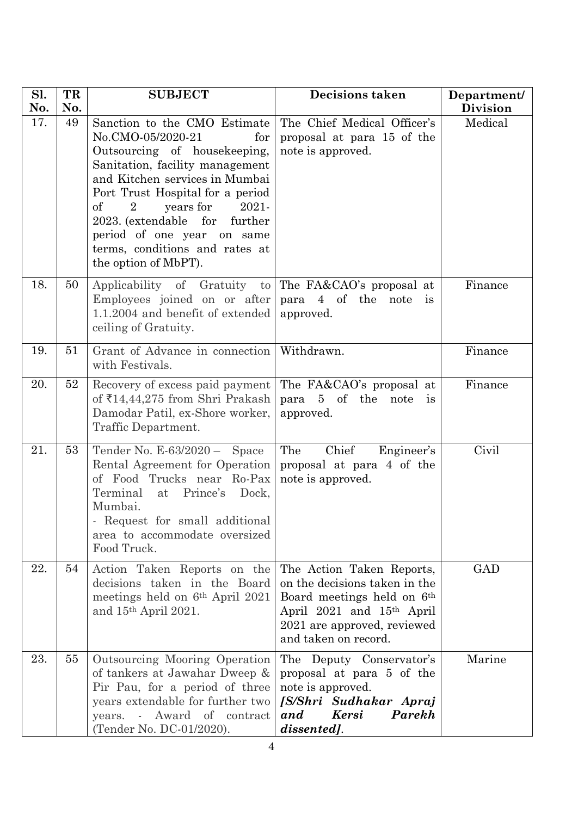| Sl.<br>No. | TR<br>No. | <b>SUBJECT</b>                                                                                                                                                                                                                                                                                                                                                                         | <b>Decisions taken</b>                                                                                                                                                                               | Department/<br><b>Division</b> |
|------------|-----------|----------------------------------------------------------------------------------------------------------------------------------------------------------------------------------------------------------------------------------------------------------------------------------------------------------------------------------------------------------------------------------------|------------------------------------------------------------------------------------------------------------------------------------------------------------------------------------------------------|--------------------------------|
| 17.        | 49        | Sanction to the CMO Estimate<br>No.CMO-05/2020-21<br>for<br>Outsourcing of housekeeping,<br>Sanitation, facility management<br>and Kitchen services in Mumbai<br>Port Trust Hospital for a period<br><sub>of</sub><br>years for<br>2021-<br>$\overline{2}$<br>2023. (extendable for<br>further<br>period of one year on same<br>terms, conditions and rates at<br>the option of MbPT). | The Chief Medical Officer's<br>proposal at para 15 of the<br>note is approved.                                                                                                                       | Medical                        |
| 18.        | 50        | Applicability of Gratuity to The FA&CAO's proposal at<br>Employees joined on or after<br>1.1.2004 and benefit of extended<br>ceiling of Gratuity.                                                                                                                                                                                                                                      | para 4 of the<br>note<br>$\frac{1}{1}$<br>approved.                                                                                                                                                  | Finance                        |
| 19.        | 51        | Grant of Advance in connection<br>with Festivals.                                                                                                                                                                                                                                                                                                                                      | Withdrawn.                                                                                                                                                                                           | Finance                        |
| 20.        | 52        | Recovery of excess paid payment<br>of ₹14,44,275 from Shri Prakash<br>Damodar Patil, ex-Shore worker,<br>Traffic Department.                                                                                                                                                                                                                                                           | The FA&CAO's proposal at<br>para<br>5 of the<br>note<br>is<br>approved.                                                                                                                              | Finance                        |
| 21.        | 53        | Tender No. E-63/2020 - Space<br>Rental Agreement for Operation<br>of Food Trucks near Ro-Pax<br>Terminal<br>Prince's<br>at<br>Dock,<br>Mumbai.<br>- Request for small additional<br>area to accommodate oversized<br>Food Truck.                                                                                                                                                       | Chief<br>The<br>Engineer's<br>proposal at para 4 of the<br>note is approved.                                                                                                                         | Civil                          |
| 22.        | 54        | Action Taken Reports on the<br>decisions taken in the Board<br>meetings held on $6th$ April 2021<br>and $15th$ April 2021.                                                                                                                                                                                                                                                             | The Action Taken Reports,<br>on the decisions taken in the<br>Board meetings held on 6 <sup>th</sup><br>April 2021 and 15 <sup>th</sup> April<br>2021 are approved, reviewed<br>and taken on record. | <b>GAD</b>                     |
| 23.        | 55        | Outsourcing Mooring Operation<br>of tankers at Jawahar Dweep &<br>Pir Pau, for a period of three<br>years extendable for further two<br>years. - Award of contract<br>(Tender No. DC-01/2020).                                                                                                                                                                                         | The Deputy Conservator's<br>proposal at para 5 of the<br>note is approved.<br>[S/Shri Sudhakar Apraj<br><b>Kersi</b><br>Parekh<br>and<br>dissented].                                                 | Marine                         |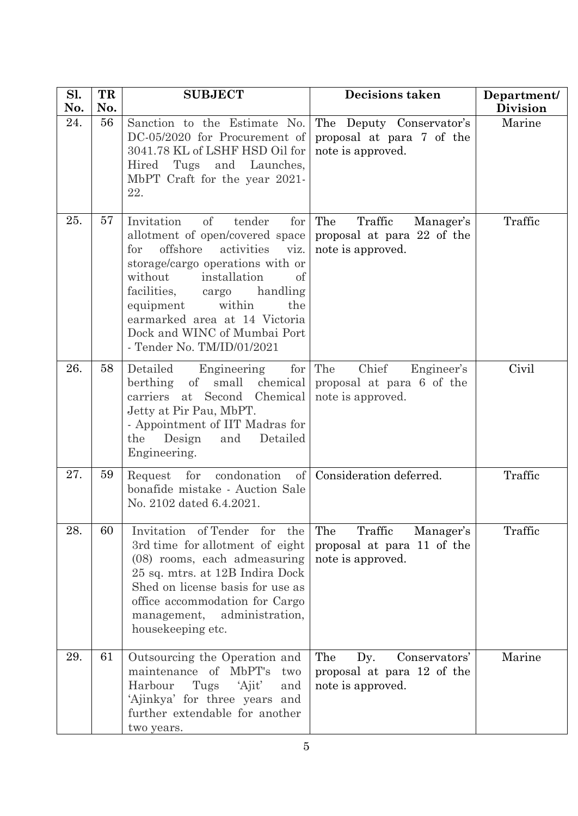| Sl.<br>No. | TR<br>No. | <b>SUBJECT</b>                                                                                                                                                                                                                                                                                                                                   | <b>Decisions taken</b>                                                         | Department/<br><b>Division</b> |
|------------|-----------|--------------------------------------------------------------------------------------------------------------------------------------------------------------------------------------------------------------------------------------------------------------------------------------------------------------------------------------------------|--------------------------------------------------------------------------------|--------------------------------|
| 24.        | 56        | Sanction to the Estimate No.<br>DC-05/2020 for Procurement of<br>3041.78 KL of LSHF HSD Oil for<br>Tugs and Launches,<br>Hired<br>MbPT Craft for the year 2021-<br>22.                                                                                                                                                                           | The Deputy Conservator's<br>proposal at para 7 of the<br>note is approved.     | Marine                         |
| 25.        | 57        | of<br>Invitation<br>tender<br>for<br>allotment of open/covered space<br>offshore<br>activities<br>for<br>viz.<br>storage/cargo operations with or<br>without<br>installation<br>of<br>facilities,<br>cargo handling<br>equipment<br>within<br>the<br>earmarked area at 14 Victoria<br>Dock and WINC of Mumbai Port<br>- Tender No. TM/ID/01/2021 | The<br>Traffic<br>Manager's<br>proposal at para 22 of the<br>note is approved. | Traffic                        |
| 26.        | 58        | for<br>Detailed<br>Engineering<br>small<br>chemical<br>berthing<br>of<br>Second Chemical<br>carriers at<br>Jetty at Pir Pau, MbPT.<br>- Appointment of IIT Madras for<br>Detailed<br>Design<br>the<br>and<br>Engineering.                                                                                                                        | The<br>Chief<br>Engineer's<br>proposal at para 6 of the<br>note is approved.   | Civil                          |
| 27.        | 59        | of<br>condonation<br>for<br>Request<br>bonafide mistake - Auction Sale<br>No. 2102 dated 6.4.2021.                                                                                                                                                                                                                                               | Consideration deferred.                                                        | Traffic                        |
| 28.        | 60        | of Tender<br>Invitation<br>for the<br>3rd time for allotment of eight<br>(08) rooms, each admeasuring<br>25 sq. mtrs. at 12B Indira Dock<br>Shed on license basis for use as<br>office accommodation for Cargo<br>administration,<br>management,<br>housekeeping etc.                                                                            | Traffic<br>The<br>Manager's<br>proposal at para 11 of the<br>note is approved. | Traffic                        |
| 29.        | 61        | Outsourcing the Operation and<br>maintenance of MbPT's<br>two<br>Harbour<br>Tugs<br>'Ajit'<br>and<br>'Ajinkya' for three years and<br>further extendable for another<br>two years.                                                                                                                                                               | The<br>Conservators'<br>Dy.<br>proposal at para 12 of the<br>note is approved. | Marine                         |